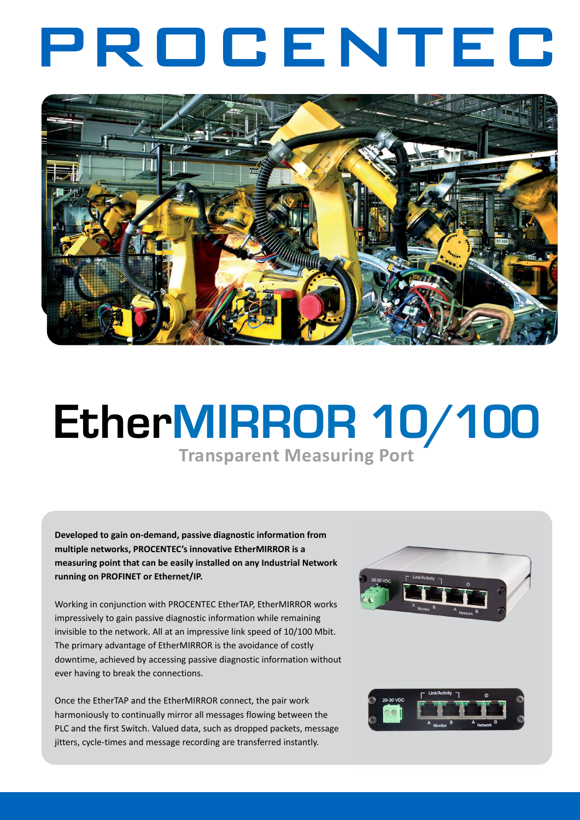## PROCENTEC



## EtherMIRROR 10/100

**Transparent Measuring Port**

**Developed to gain on-demand, passive diagnostic information from multiple networks, PROCENTEC's innovative EtherMIRROR is a measuring point that can be easily installed on any Industrial Network running on PROFINET or Ethernet/IP.** 

Working in conjunction with PROCENTEC EtherTAP, EtherMIRROR works impressively to gain passive diagnostic information while remaining invisible to the network. All at an impressive link speed of 10/100 Mbit. The primary advantage of EtherMIRROR is the avoidance of costly downtime, achieved by accessing passive diagnostic information without ever having to break the connections.

Once the EtherTAP and the EtherMIRROR connect, the pair work harmoniously to continually mirror all messages flowing between the PLC and the first Switch. Valued data, such as dropped packets, message jitters, cycle-times and message recording are transferred instantly.